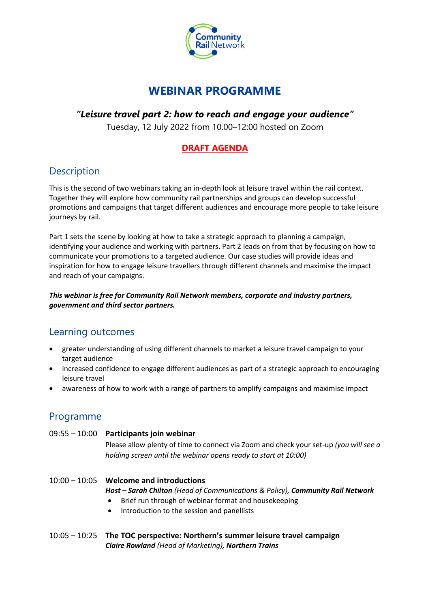

# **WEBINAR PROGRAMME**

### *"Leisure travel part 2: how to reach and engage your audience"*

Tuesday, 12 July 2022 from 10.00–12:00 hosted on Zoom

### **DRAFT AGENDA**

## **Description**

This is the second of two webinars taking an in-depth look at leisure travel within the rail context. Together they will explore how community rail partnerships and groups can develop successful promotions and campaigns that target different audiences and encourage more people to take leisure journeys by rail.

Part 1 sets the scene by looking at how to take a strategic approach to planning a campaign, identifying your audience and working with partners. Part 2 leads on from that by focusing on how to communicate your promotions to a targeted audience. Our case studies will provide ideas and inspiration for how to engage leisure travellers through different channels and maximise the impact and reach of your campaigns.

#### *This webinar is free for Community Rail Network members, corporate and industry partners, government and third sector partners.*

## Learning outcomes

- greater understanding of using different channels to market a leisure travel campaign to your target audience
- increased confidence to engage different audiences as part of a strategic approach to encouraging leisure travel
- awareness of how to work with a range of partners to amplify campaigns and maximise impact

## Programme

### 09:55 – 10:00 **Participants join webinar**

Please allow plenty of time to connect via Zoom and check your set-up *(you will see a holding screen until the webinar opens ready to start at 10:00)*

### 10:00 – 10:05 **Welcome and introductions**

*Host – Sarah Chilton (Head of Communications & Policy), Community Rail Network*

- Brief run through of webinar format and housekeeping
- Introduction to the session and panellists
- 10:05 10:25 **The TOC perspective: Northern's summer leisure travel campaign** *Claire Rowland (Head of Marketing), Northern Trains*